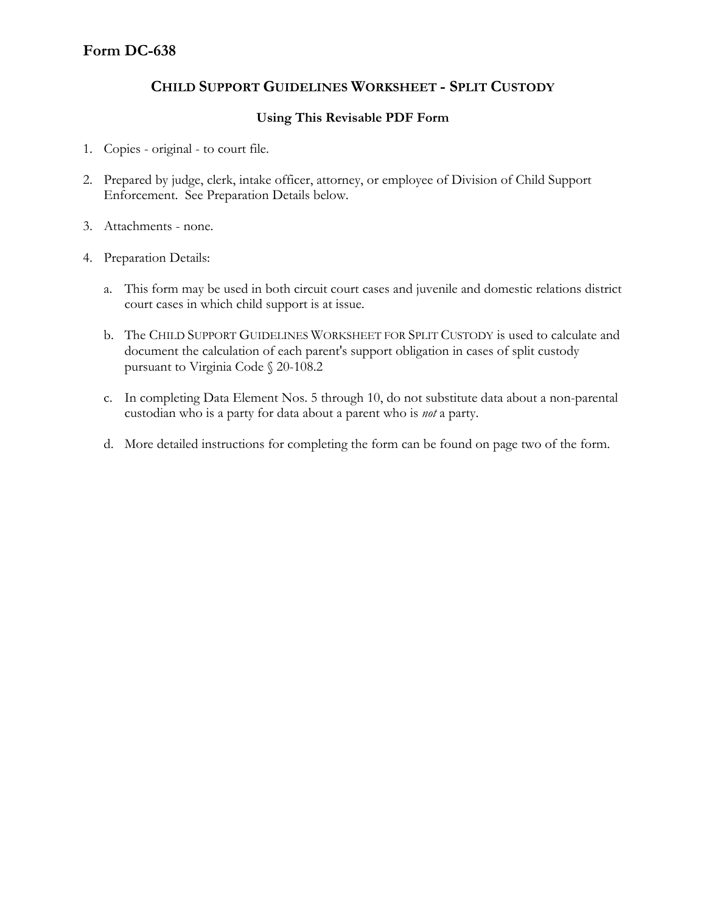## **CHILD SUPPORT GUIDELINES WORKSHEET - SPLIT CUSTODY**

## **Using This Revisable PDF Form**

- 1. Copies original to court file.
- 2. Prepared by judge, clerk, intake officer, attorney, or employee of Division of Child Support Enforcement. See Preparation Details below.
- 3. Attachments none.
- 4. Preparation Details:
	- a. This form may be used in both circuit court cases and juvenile and domestic relations district court cases in which child support is at issue.
	- b. The CHILD SUPPORT GUIDELINES WORKSHEET FOR SPLIT CUSTODY is used to calculate and document the calculation of each parent's support obligation in cases of split custody pursuant to Virginia Code § 20-108.2
	- c. In completing Data Element Nos. 5 through 10, do not substitute data about a non-parental custodian who is a party for data about a parent who is *not* a party.
	- d. More detailed instructions for completing the form can be found on page two of the form.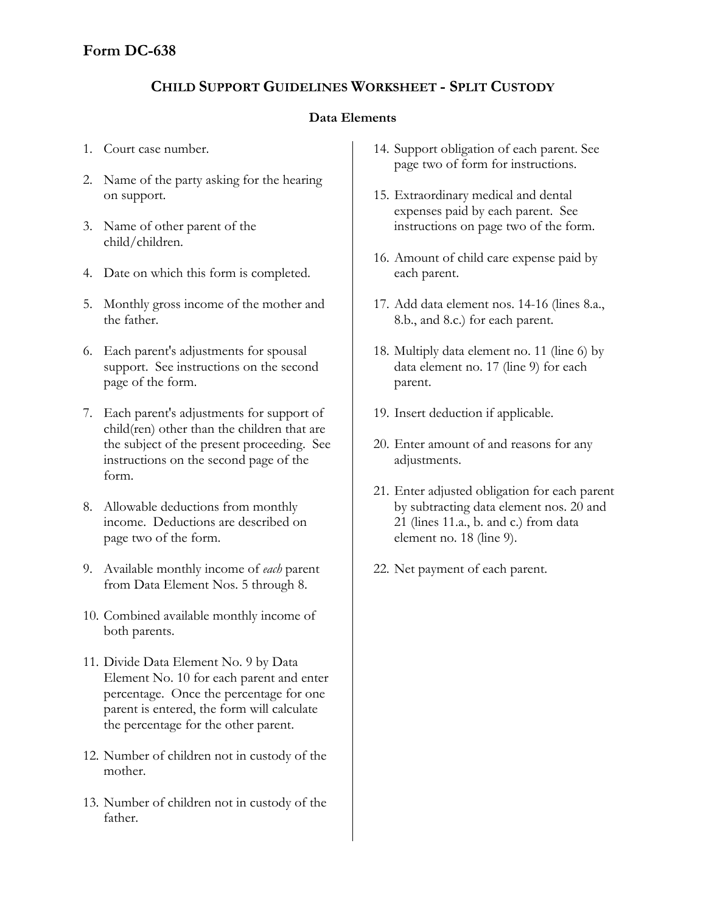# **CHILD SUPPORT GUIDELINES WORKSHEET - SPLIT CUSTODY**

## **Data Elements**

- 1. Court case number.
- 2. Name of the party asking for the hearing on support.
- 3. Name of other parent of the child/children.
- 4. Date on which this form is completed.
- 5. Monthly gross income of the mother and the father.
- 6. Each parent's adjustments for spousal support. See instructions on the second page of the form.
- 7. Each parent's adjustments for support of child(ren) other than the children that are the subject of the present proceeding. See instructions on the second page of the form.
- 8. Allowable deductions from monthly income. Deductions are described on page two of the form.
- 9. Available monthly income of *each* parent from Data Element Nos. 5 through 8.
- 10. Combined available monthly income of both parents.
- 11. Divide Data Element No. 9 by Data Element No. 10 for each parent and enter percentage. Once the percentage for one parent is entered, the form will calculate the percentage for the other parent.
- 12. Number of children not in custody of the mother.
- 13. Number of children not in custody of the father.
- 14. Support obligation of each parent. See page two of form for instructions.
- 15. Extraordinary medical and dental expenses paid by each parent. See instructions on page two of the form.
- 16. Amount of child care expense paid by each parent.
- 17. Add data element nos. 14-16 (lines 8.a., 8.b., and 8.c.) for each parent.
- 18. Multiply data element no. 11 (line 6) by data element no. 17 (line 9) for each parent.
- 19. Insert deduction if applicable.
- 20. Enter amount of and reasons for any adjustments.
- 21. Enter adjusted obligation for each parent by subtracting data element nos. 20 and 21 (lines 11.a., b. and c.) from data element no. 18 (line 9).
- 22. Net payment of each parent.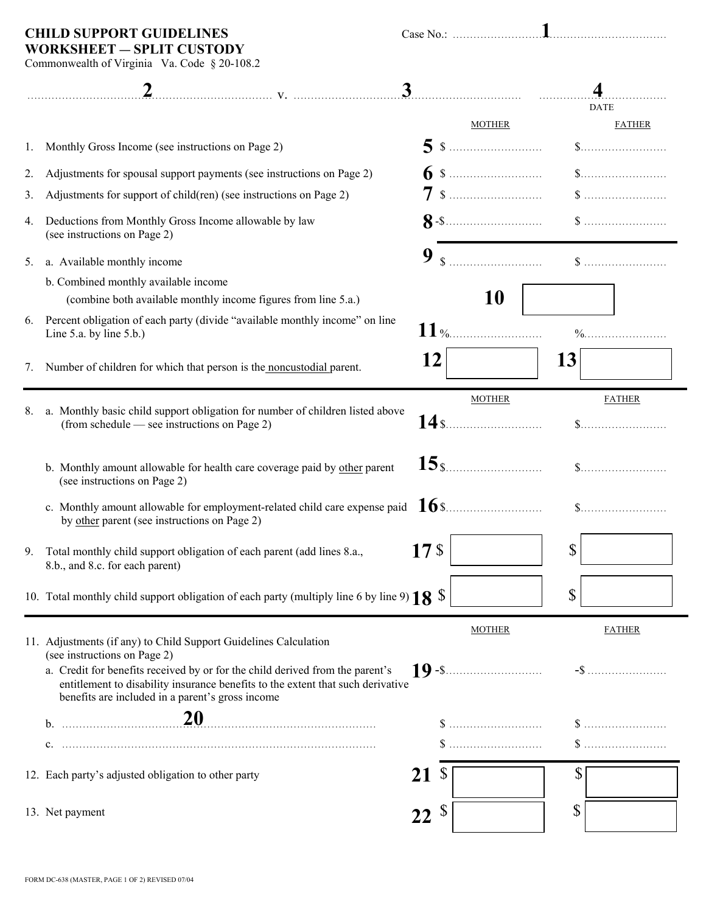**WORKSHEET** ― **SPLIT CUSTODY**

**CHILD SUPPORT GUIDELINES** Case No.: .............................................................. **1**

Commonwealth of Virginia Va. Code § 20-108.2

|    |                                                                                                                                                                                                                      | 3               |                                                 |              |                                                      |
|----|----------------------------------------------------------------------------------------------------------------------------------------------------------------------------------------------------------------------|-----------------|-------------------------------------------------|--------------|------------------------------------------------------|
|    |                                                                                                                                                                                                                      |                 |                                                 |              | <b>DATE</b>                                          |
|    |                                                                                                                                                                                                                      |                 | <b>MOTHER</b>                                   |              | <b>FATHER</b>                                        |
| 1. | Monthly Gross Income (see instructions on Page 2)                                                                                                                                                                    |                 |                                                 |              | $\$\ldots$                                           |
| 2. | Adjustments for spousal support payments (see instructions on Page 2)                                                                                                                                                |                 |                                                 |              |                                                      |
| 3. | Adjustments for support of child(ren) (see instructions on Page 2)                                                                                                                                                   |                 |                                                 |              |                                                      |
| 4. | Deductions from Monthly Gross Income allowable by law<br>(see instructions on Page 2)                                                                                                                                |                 | $8  \cdots$ $\cdots$ $\cdots$ $\cdots$ $\cdots$ |              |                                                      |
| 5. | a. Available monthly income                                                                                                                                                                                          | 9               | $\$\dots$                                       |              |                                                      |
|    | b. Combined monthly available income                                                                                                                                                                                 |                 |                                                 |              |                                                      |
|    | (combine both available monthly income figures from line 5.a.)                                                                                                                                                       |                 | <b>10</b>                                       |              |                                                      |
| 6. | Percent obligation of each party (divide "available monthly income" on line<br>Line $5.a.$ by line $5.b.$ )                                                                                                          |                 | $11$ %                                          |              |                                                      |
| 7. | Number of children for which that person is the noncustodial parent.                                                                                                                                                 | 12              |                                                 | 13           |                                                      |
| 8. | a. Monthly basic child support obligation for number of children listed above<br>(from schedule — see instructions on Page 2)                                                                                        |                 | <b>MOTHER</b><br>$14$ s                         |              | <b>FATHER</b>                                        |
|    | b. Monthly amount allowable for health care coverage paid by other parent<br>(see instructions on Page 2)                                                                                                            |                 | $15$ s                                          |              | $\$\ldots\ldots\ldots\ldots\ldots\ldots\ldots\ldots$ |
|    | by other parent (see instructions on Page 2)                                                                                                                                                                         |                 |                                                 |              | $\$\ldots\ldots\ldots\ldots\ldots\ldots\ldots\ldots$ |
| 9. | Total monthly child support obligation of each parent (add lines 8.a.,<br>8.b., and 8.c. for each parent)                                                                                                            | 17 <sub>3</sub> |                                                 | $\mathbb{S}$ |                                                      |
|    | 10. Total monthly child support obligation of each party (multiply line 6 by line 9) $18 \text{ }$ \$                                                                                                                |                 |                                                 | \$           |                                                      |
|    | 11. Adjustments (if any) to Child Support Guidelines Calculation<br>(see instructions on Page 2)                                                                                                                     |                 | <b>MOTHER</b>                                   |              | <b>FATHER</b>                                        |
|    | a. Credit for benefits received by or for the child derived from the parent's<br>entitlement to disability insurance benefits to the extent that such derivative<br>benefits are included in a parent's gross income |                 | <b>19</b> - \$                                  |              |                                                      |
|    | $b.$ 20                                                                                                                                                                                                              |                 |                                                 |              |                                                      |
|    |                                                                                                                                                                                                                      |                 |                                                 |              |                                                      |
|    | 12. Each party's adjusted obligation to other party                                                                                                                                                                  | 21              | <sup>S</sup>                                    | \$           |                                                      |
|    | 13. Net payment                                                                                                                                                                                                      | $22^s$          |                                                 | \$           |                                                      |